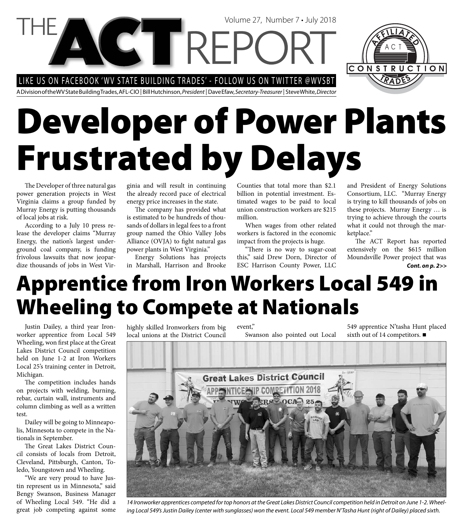LIKE US ON FACEBOOK 'WV STATE BUILDING TRADES' - FOLLOW US ON TWITTER @WVSBT

CTREP

A Division of the WV State Building Trades, AFL-CIO | Bill Hutchinson, President | Dave Efaw, Secretary-Treasurer | Steve White, Director

# **Developer of Power Plants Frustrated by Delays**

The Developer of three natural gas power generation projects in West Virginia claims a group funded by Murray Energy is putting thousands of local jobs at risk.

According to a July 10 press release the developer claims "Murray Energy, the nation's largest underground coal company, is funding frivolous lawsuits that now jeopardize thousands of jobs in West Virginia and will result in continuing the already record pace of electrical energy price increases in the state.

The company has provided what is estimated to be hundreds of thousands of dollars in legal fees to a front group named the Ohio Valley Jobs Alliance  $(OVJA)$  to fight natural gas power plants in West Virginia."

Energy Solutions has projects in Marshall, Harrison and Brooke

Counties that total more than \$2.1 billion in potential investment. Estimated wages to be paid to local union construction workers are \$215 million.

Volume 27, Number 7 • July 2018

When wages from other related workers is factored in the economic impact from the projects is huge.

"There is no way to sugar-coat this," said Drew Dorn, Director of ESC Harrison County Power, LLC

and President of Energy Solutions Consortium, LLC. "Murray Energy is trying to kill thousands of jobs on these projects. Murray Energy … is trying to achieve through the courts what it could not through the marketplace."

The ACT Report has reported extensively on the \$615 million Moundsville Power project that was *Cont. on p. 2>>*

#### **Apprentice from Iron Workers Local 549 in Wheeling to Compete at Nationals**

Justin Dailey, a third year Ironworker apprentice from Local 549 Wheeling, won first place at the Great Lakes District Council competition held on June 1-2 at Iron Workers Local 25's training center in Detroit, Michigan.

The competition includes hands on projects with welding, burning, rebar, curtain wall, instruments and column climbing as well as a written test.

Dailey will be going to Minneapolis, Minnesota to compete in the Nationals in September.

The Great Lakes District Council consists of locals from Detroit, Cleveland, Pittsburgh, Canton, Toledo, Youngstown and Wheeling.

"We are very proud to have Justin represent us in Minnesota," said Bengy Swanson, Business Manager of Wheeling Local 549. "He did a great job competing against some highly skilled Ironworkers from big local unions at the District Council event," Swanson also pointed out Local 549 apprentice N'tasha Hunt placed sixth out of 14 competitors. ■



14 Ironworker apprentices competed for top honors at the Great Lakes District Council competition held in Detroit on June 1-2. Wheeling Local 549's Justin Dailey (center with sunglasses) won the event. Local 549 member N'Tasha Hunt (right of Dailey) placed sixth.

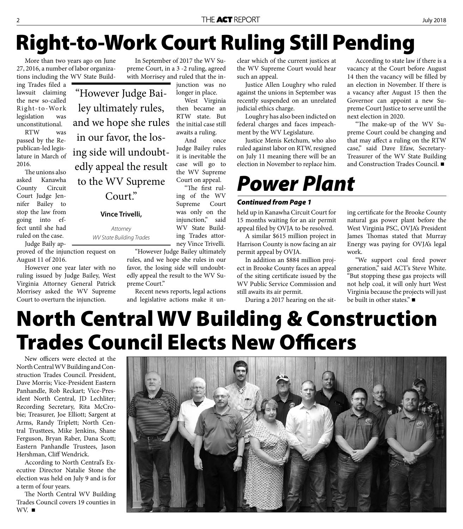## **Right-to-Work Court Ruling Still Pending**

More than two years ago on June 27, 2016, a number of labor organizations including the WV State Build-

ing Trades filed a lawsuit claiming the new so-called Right-to-Work legislation was unconstitutional.

RTW was passed by the Republican-led legislature in March of 2016.

The unions also asked Kanawha County Circuit Court Judge Jennifer Bailey to stop the law from going into effect until she had ruled on the case.

Judge Baily approved of the injunction request on August 11 of 2016.

However one year later with no ruling issued by Judge Bailey, West Virginia Attorney General Patrick Morrisey asked the WV Supreme Court to overturn the injunction.

"However Judge Bailey ultimately rules, and we hope she rules in our favor, the losing side will undoubtedly appeal the result to the WV Supreme Court."

#### **Vince Trivelli,**

Attorney WV State Building Trades

In September of 2017 the WV Supreme Court, in a 3 -2 ruling, agreed with Morrisey and ruled that the injunction was no

longer in place.

West Virginia then became an RTW state. But the initial case still awaits a ruling.

And once Judge Bailey rules it is inevitable the case will go to the WV Supreme Court on appeal.

"The first ruling of the WV Supreme Court was only on the injunction," said WV State Building Trades attorney Vince Trivelli.

"However Judge Bailey ultimately rules, and we hope she rules in our favor, the losing side will undoubtedly appeal the result to the WV Supreme Court."

Recent news reports, legal actions and legislative actions make it un-

clear which of the current justices at the WV Supreme Court would hear such an appeal.

Justice Allen Loughry who ruled against the unions in September was recently suspended on an unrelated judicial ethics charge.

Loughry has also been indicted on federal charges and faces impeachment by the WV Legislature.

Justice Menis Ketchum, who also ruled against labor on RTW, resigned on July 11 meaning there will be an election in November to replace him.

#### *Power Plant*

#### *Continued from Page 1*

held up in Kanawha Circuit Court for 15 months waiting for an air permit appeal filed by OVJA to be resolved.

A similar \$615 million project in Harrison County is now facing an air permit appeal by OVJA.

In addition an \$884 million project in Brooke County faces an appeal of the siting certificate issued by the WV Public Service Commission and still awaits its air permit.

During a 2017 hearing on the sit-

According to state law if there is a vacancy at the Court before August 14 then the vacancy will be filled by an election in November. If there is a vacancy after August 15 then the Governor can appoint a new Supreme Court Justice to serve until the next election in 2020.

"The make-up of the WV Supreme Court could be changing and that may affect a ruling on the RTW case," said Dave Efaw, Secretary-Treasurer of the WV State Building and Construction Trades Council.

ing certificate for the Brooke County natural gas power plant before the West Virginia PSC, OVJA's President James Thomas stated that Murray Energy was paying for OVJA's legal work.

"We support coal fired power generation," said ACT's Steve White. "But stopping these gas projects will not help coal, it will only hurt West Virginia because the projects will just be built in other states." ■

### **North Central WV Building & Construction Trades Council Elects New Officers**

New officers were elected at the North Central WV Building and Construction Trades Council. President, Dave Morris; Vice-President Eastern Panhandle, Rob Reckart; Vice-President North Central, JD Lechliter; Recording Secretary, Rita McCrobie; Treasurer, Joe Elliott; Sargent at Arms, Randy Triplett; North Central Trusttees, Mike Jenkins, Shane Ferguson, Bryan Raber, Dana Scott; Eastern Panhandle Trustees, Jason Hershman, Cliff Wendrick.

According to North Central's Executive Director Natalie Stone the election was held on July 9 and is for a term of four years.

The North Central WV Building Trades Council covers 19 counties in WV. ■

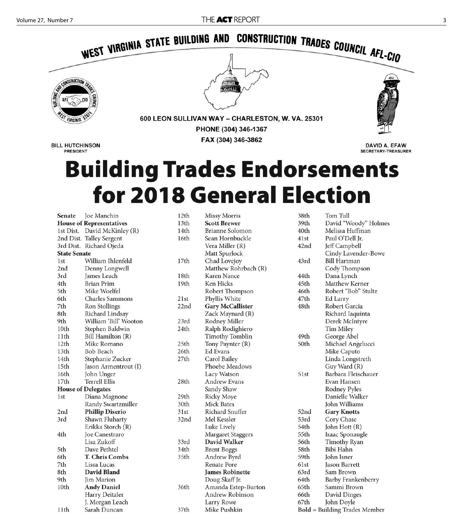

DAVID A. EFAW **SECRETARY-TREASURER** 

**BILL HUTCHINSON PRESIDENT** 

### **Building Trades Endorsements** for 2018 General Election

Joe Manchin Senate **House of Representatives** 1st Dist. David McKinley (R) 2nd Dist. Talley Sergent 3rd Dist. Richard Ojeda **State Senate** 1st William Ihlenfeld 2nd Denny Longwell James Leach 3rd **Brian Prim** 4th Mike Woelfel 5th Charles Sammons 6th 7th Ron Stollings Richard Lindsay 8th 9th William 'Bill' Wooton Stephen Baldwin 10th Bill Hamilton (R)  $11<sup>th</sup>$  $12<sub>th</sub>$ Mike Romano 13th **Bob Beach** 14th Stephanie Zucker  $15<sub>th</sub>$ Jason Armentrout (I) 16th John Unger  $17th$ **Terrell Ellis House of Delegates** 1<sub>st</sub> Diana Magnone Randy Swartzmiller **Phillip Diserio** 2nd 3rd Shawn Fluharty Erikka Storch (R) 4th Joe Canestraro Lisa Zukoff 5th Dave Pethtel 6th T. Chris Combs 7th Lissa Lucas David Bland 8th 9th Jim Marion 10th **Andy Daniel** Harry Deitzler J. Morgan Leach

Sarah Duncan

11th

| 12th | <b>Missy Morris</b>     | 38th | Tom Tull                        |
|------|-------------------------|------|---------------------------------|
| 13th | <b>Scott Brewer</b>     | 39th | David "Woody" Holmes            |
| 14th | <b>Brianne Solomon</b>  | 40th | Melissa Huffman                 |
| 16th | Sean Hornbuckle         | 41st | Paul O'Dell Jr.                 |
|      | Vera Miller (R)         | 42nd | Jeff Campbell                   |
|      | Matt Spurlock           |      | Cindy Lavender-Bowe             |
| 17th | Chad Lovejoy            | 43rd | <b>Bill Hartman</b>             |
|      | Matthew Rohrbach (R)    |      | Cody Thompson                   |
| 18th | Karen Nance             | 44th | Dana Lynch                      |
| 19th | Ken Hicks               | 45th | Matthew Kerner                  |
|      | Robert Thompson         | 46th | Robert "Bob" Stultz             |
| 21st | Phyllis White           | 47th | Ed Larry                        |
| 22nd | <b>Gary McCallister</b> | 48th | Robert Garcia                   |
|      | Zack Maynard (R)        |      | Richard Iaquinta                |
| 23rd | Rodney Miller           |      | Derek McIntyre                  |
| 24th | Ralph Rodighiero        |      | Tim Miley                       |
|      | <b>Timothy Tomblin</b>  | 49th | George Abel                     |
| 25th | Tony Paynter (R)        | 50th | Michael Angelucci               |
| 26th | <b>Ed Evans</b>         |      | Mike Caputo                     |
| 27th | Carol Bailey            |      | Linda Longstreth                |
|      | Phoebe Meadows          |      | Guy Ward (R)                    |
|      | Lacy Watson             | 51st | Barbara Fleischauer             |
| 28th | <b>Andrew Evans</b>     |      | Evan Hansen                     |
|      | Sandy Shaw              |      | Rodney Pyles                    |
| 29th | <b>Ricky Moye</b>       |      | Danielle Walker                 |
| 30th | Mick Bates              |      | John Williams                   |
| 31st | <b>Richard Snuffer</b>  | 52nd | <b>Gary Knotts</b>              |
| 32nd | Mel Kessler             | 53rd | Cory Chase                      |
|      | Luke Lively             | 54th | John Hott (R)                   |
|      | Margaret Staggers       | 55th | Isaac Sponaugle                 |
| 33rd | <b>David Walker</b>     | 56th | <b>Timothy Ryan</b>             |
| 34th | <b>Brent Boggs</b>      | 58th | Bibi Hahn                       |
| 35th | Andrew Byrd             | 59th | John Isner                      |
|      | <b>Renate Pore</b>      | 61st | Jason Barrett                   |
|      | <b>James Robinette</b>  | 63rd | Sam Brown                       |
|      | Doug Skaff Jr.          | 64th | Barby Frankenberry              |
| 36th | Amanda Estep-Burton     | 65th | Sammi Brown                     |
|      | Andrew Robinson         | 66th | David Dinges                    |
|      | Larry Rowe              | 67th | John Doyle                      |
| 37th | Mike Pushkin            |      | $Bold = Building Trades Member$ |